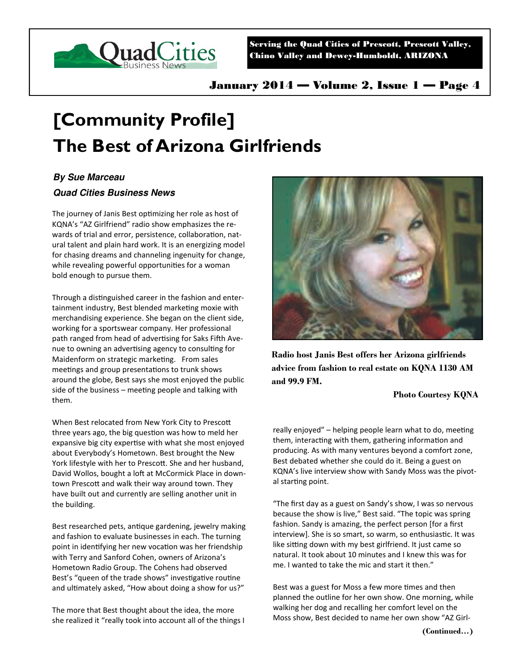

Serving the Quad Cities of Prescott, Prescott Valley, Chino Valley and Dewey-Humboldt, ARIZONA

# **[Community Profile] The Best of Arizona Girlfriends**

## **By Sue Marceau**

### **Quad Cities Business News**

The journey of Janis Best optimizing her role as host of KQNA's "AZ Girlfriend" radio show emphasizes the rewards of trial and error, persistence, collaboration, natural talent and plain hard work. It is an energizing model for chasing dreams and channeling ingenuity for change, while revealing powerful opportunities for a woman bold enough to pursue them.

Through a distinguished career in the fashion and entertainment industry, Best blended marketing moxie with merchandising experience. She began on the client side, working for a sportswear company. Her professional path ranged from head of advertising for Saks Fifth Avenue to owning an advertising agency to consulting for Maidenform on strategic marketing. From sales meetings and group presentations to trunk shows around the globe, Best says she most enjoyed the public side of the business  $-$  meeting people and talking with them.

When Best relocated from New York City to Prescott three years ago, the big question was how to meld her expansive big city expertise with what she most enjoyed about Everybody's Hometown. Best brought the New York lifestyle with her to Prescott. She and her husband, David Wollos, bought a loft at McCormick Place in downtown Prescott and walk their way around town. They have built out and currently are selling another unit in the building.

Best researched pets, antique gardening, jewelry making and fashion to evaluate businesses in each. The turning point in identifying her new vocation was her friendship with Terry and Sanford Cohen, owners of Arizona's Hometown Radio Group. The Cohens had observed Best's "queen of the trade shows" investigative routine and ultimately asked, "How about doing a show for us?"

The more that Best thought about the idea, the more she realized it "really took into account all of the things I



**Radio host Janis Best offers her Arizona girlfriends advice from fashion to real estate on KQNA 1130 AM and 99.9 FM.** 

#### **Photo Courtesy KQNA**

really enjoyed" – helping people learn what to do, meeting them, interacting with them, gathering information and producing. As with many ventures beyond a comfort zone, Best debated whether she could do it. Being a guest on KQNA's live interview show with Sandy Moss was the pivotal starting point.

"The first day as a guest on Sandy's show, I was so nervous because the show is live," Best said. "The topic was spring fashion. Sandy is amazing, the perfect person [for a first interview]. She is so smart, so warm, so enthusiastic. It was like sitting down with my best girlfriend. It just came so natural. It took about 10 minutes and I knew this was for me. I wanted to take the mic and start it then."

Best was a guest for Moss a few more times and then planned the outline for her own show. One morning, while walking her dog and recalling her comfort level on the Moss show, Best decided to name her own show "AZ Girl-